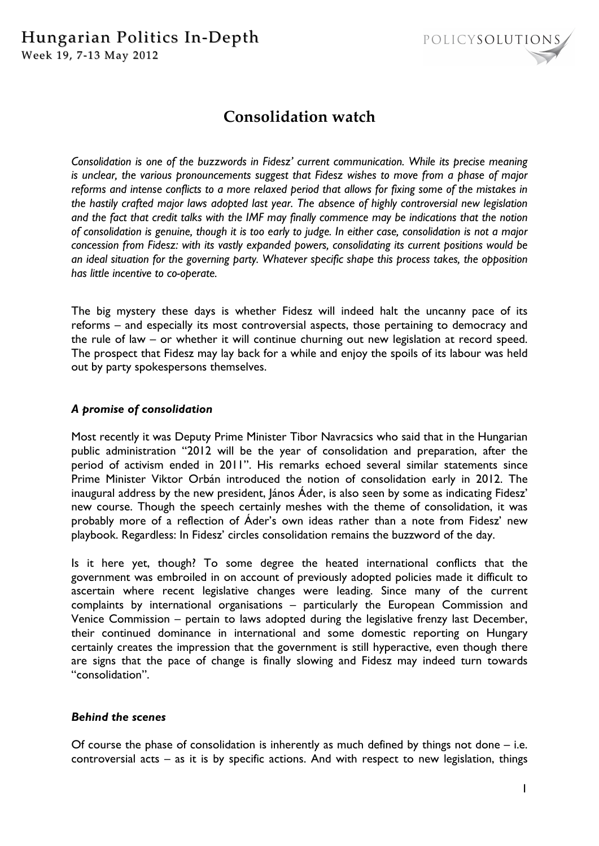

# **Consolidation watch**

*Consolidation is one of the buzzwords in Fidesz' current communication. While its precise meaning is unclear, the various pronouncements suggest that Fidesz wishes to move from a phase of major reforms and intense conflicts to a more relaxed period that allows for fixing some of the mistakes in the hastily crafted major laws adopted last year. The absence of highly controversial new legislation and the fact that credit talks with the IMF may finally commence may be indications that the notion of consolidation is genuine, though it is too early to judge. In either case, consolidation is not a major concession from Fidesz: with its vastly expanded powers, consolidating its current positions would be an ideal situation for the governing party. Whatever specific shape this process takes, the opposition has little incentive to co-operate.* 

The big mystery these days is whether Fidesz will indeed halt the uncanny pace of its reforms – and especially its most controversial aspects, those pertaining to democracy and the rule of law – or whether it will continue churning out new legislation at record speed. The prospect that Fidesz may lay back for a while and enjoy the spoils of its labour was held out by party spokespersons themselves.

## *A promise of consolidation*

Most recently it was Deputy Prime Minister Tibor Navracsics who said that in the Hungarian public administration "2012 will be the year of consolidation and preparation, after the period of activism ended in 2011". His remarks echoed several similar statements since Prime Minister Viktor Orbán introduced the notion of consolidation early in 2012. The inaugural address by the new president, János Áder, is also seen by some as indicating Fidesz' new course. Though the speech certainly meshes with the theme of consolidation, it was probably more of a reflection of Áder's own ideas rather than a note from Fidesz' new playbook. Regardless: In Fidesz' circles consolidation remains the buzzword of the day.

Is it here yet, though? To some degree the heated international conflicts that the government was embroiled in on account of previously adopted policies made it difficult to ascertain where recent legislative changes were leading. Since many of the current complaints by international organisations – particularly the European Commission and Venice Commission – pertain to laws adopted during the legislative frenzy last December, their continued dominance in international and some domestic reporting on Hungary certainly creates the impression that the government is still hyperactive, even though there are signs that the pace of change is finally slowing and Fidesz may indeed turn towards "consolidation".

### *Behind the scenes*

Of course the phase of consolidation is inherently as much defined by things not done – i.e. controversial acts – as it is by specific actions. And with respect to new legislation, things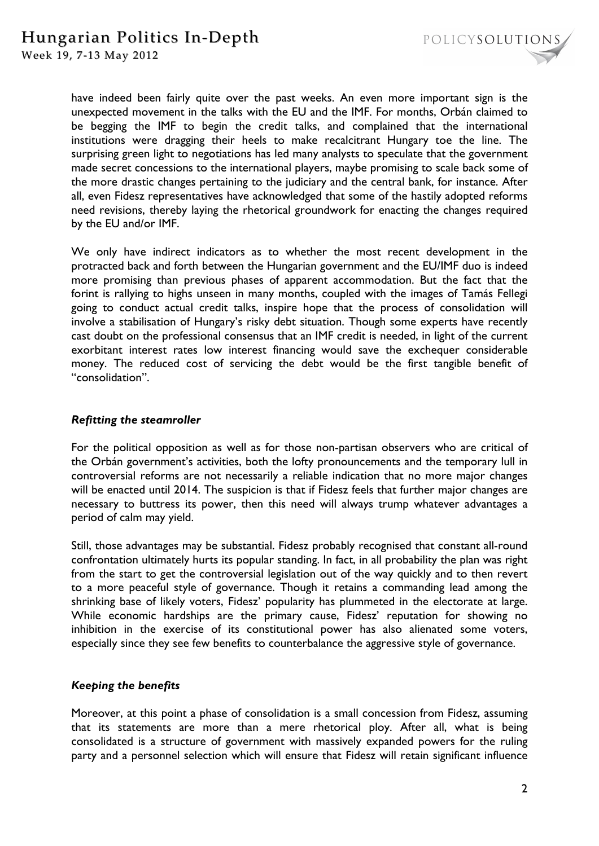

Week 19, 7-13 May 2012

have indeed been fairly quite over the past weeks. An even more important sign is the unexpected movement in the talks with the EU and the IMF. For months, Orbán claimed to be begging the IMF to begin the credit talks, and complained that the international institutions were dragging their heels to make recalcitrant Hungary toe the line. The surprising green light to negotiations has led many analysts to speculate that the government made secret concessions to the international players, maybe promising to scale back some of the more drastic changes pertaining to the judiciary and the central bank, for instance. After all, even Fidesz representatives have acknowledged that some of the hastily adopted reforms need revisions, thereby laying the rhetorical groundwork for enacting the changes required by the EU and/or IMF.

We only have indirect indicators as to whether the most recent development in the protracted back and forth between the Hungarian government and the EU/IMF duo is indeed more promising than previous phases of apparent accommodation. But the fact that the forint is rallying to highs unseen in many months, coupled with the images of Tamás Fellegi going to conduct actual credit talks, inspire hope that the process of consolidation will involve a stabilisation of Hungary's risky debt situation. Though some experts have recently cast doubt on the professional consensus that an IMF credit is needed, in light of the current exorbitant interest rates low interest financing would save the exchequer considerable money. The reduced cost of servicing the debt would be the first tangible benefit of "consolidation".

#### *Refitting the steamroller*

For the political opposition as well as for those non-partisan observers who are critical of the Orbán government's activities, both the lofty pronouncements and the temporary lull in controversial reforms are not necessarily a reliable indication that no more major changes will be enacted until 2014. The suspicion is that if Fidesz feels that further major changes are necessary to buttress its power, then this need will always trump whatever advantages a period of calm may yield.

Still, those advantages may be substantial. Fidesz probably recognised that constant all-round confrontation ultimately hurts its popular standing. In fact, in all probability the plan was right from the start to get the controversial legislation out of the way quickly and to then revert to a more peaceful style of governance. Though it retains a commanding lead among the shrinking base of likely voters, Fidesz' popularity has plummeted in the electorate at large. While economic hardships are the primary cause, Fidesz' reputation for showing no inhibition in the exercise of its constitutional power has also alienated some voters, especially since they see few benefits to counterbalance the aggressive style of governance.

### *Keeping the benefits*

Moreover, at this point a phase of consolidation is a small concession from Fidesz, assuming that its statements are more than a mere rhetorical ploy. After all, what is being consolidated is a structure of government with massively expanded powers for the ruling party and a personnel selection which will ensure that Fidesz will retain significant influence